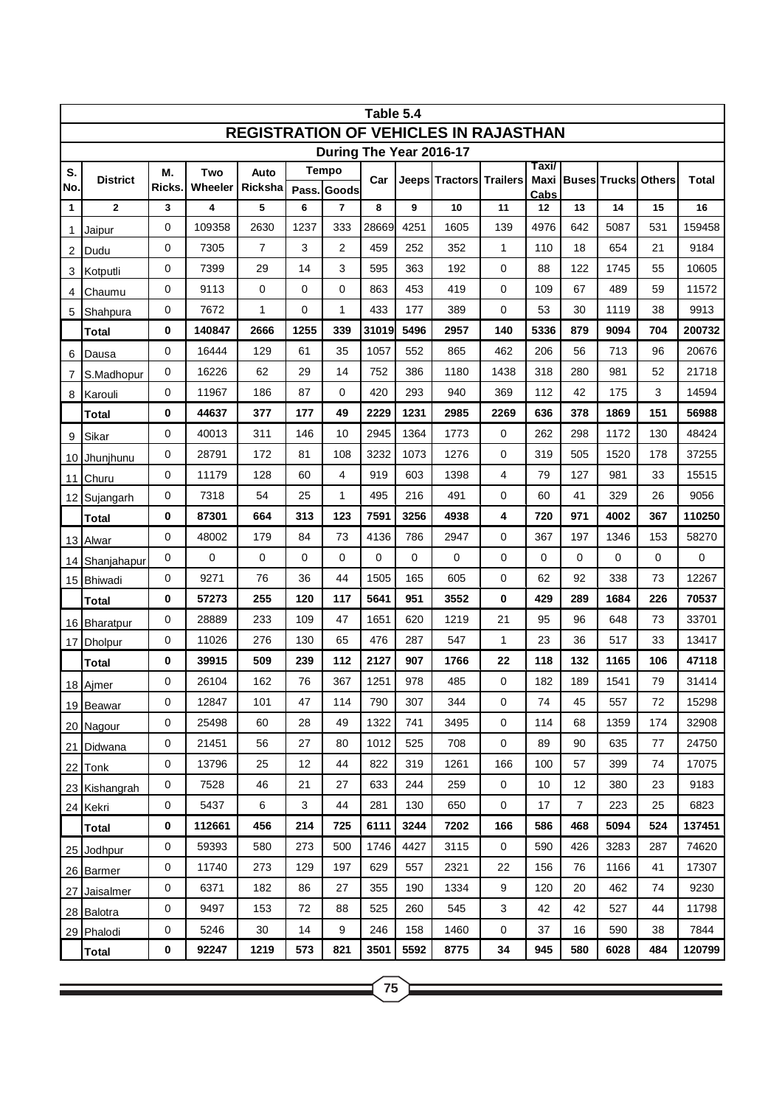| Table 5.4                                    |                          |                    |                |                 |             |                |          |      |                         |              |            |                |                   |               |              |
|----------------------------------------------|--------------------------|--------------------|----------------|-----------------|-------------|----------------|----------|------|-------------------------|--------------|------------|----------------|-------------------|---------------|--------------|
| <b>REGISTRATION OF VEHICLES IN RAJASTHAN</b> |                          |                    |                |                 |             |                |          |      |                         |              |            |                |                   |               |              |
| During The Year 2016-17<br>Taxi/             |                          |                    |                |                 |             |                |          |      |                         |              |            |                |                   |               |              |
| S.<br>No.                                    | <b>District</b>          | М.<br><b>Ricks</b> | Two<br>Wheeler | Auto<br>Ricksha |             | Tempo          | Car      |      | Jeeps Tractors Trailers |              |            |                | Maxi Buses Trucks | <b>Others</b> | <b>Total</b> |
|                                              | $\mathbf{2}$             |                    |                | 5               | Pass.       | Goods<br>7     | 8        | 9    | 10                      | 11           | Cabs       | 13             | 14                | 15            | 16           |
| 1                                            |                          | 3<br>0             | 4<br>109358    | 2630            | 6<br>1237   | 333            | 28669    | 4251 | 1605                    | 139          | 12<br>4976 | 642            | 5087              | 531           | 159458       |
| 1                                            | Jaipur                   | 0                  | 7305           | $\overline{7}$  | 3           | $\overline{2}$ | 459      | 252  | 352                     | 1            | 110        | 18             | 654               | 21            | 9184         |
| 2                                            | Dudu                     | 0                  | 7399           | 29              | 14          | 3              | 595      | 363  | 192                     | 0            | 88         | 122            | 1745              | 55            | 10605        |
| 3                                            | Kotputli                 | 0                  | 9113           | $\mathbf 0$     | $\mathbf 0$ | 0              | 863      | 453  | 419                     | 0            | 109        | 67             | 489               | 59            | 11572        |
| 4                                            | Chaumu                   | 0                  | 7672           | $\mathbf{1}$    | 0           | 1              | 433      | 177  | 389                     | 0            | 53         | 30             | 1119              | 38            | 9913         |
| 5                                            | Shahpura<br><b>Total</b> | 0                  | 140847         | 2666            | 1255        | 339            | 31019    | 5496 | 2957                    | 140          | 5336       | 879            | 9094              | 704           | 200732       |
|                                              |                          | 0                  | 16444          | 129             | 61          | 35             | 1057     | 552  | 865                     | 462          | 206        | 56             | 713               | 96            | 20676        |
| 6                                            | Dausa                    | 0                  | 16226          | 62              | 29          | 14             | 752      | 386  | 1180                    | 1438         | 318        | 280            | 981               | 52            | 21718        |
| 7<br>8                                       | S.Madhopur<br>Karouli    | 0                  | 11967          | 186             | 87          | $\mathbf 0$    | 420      | 293  | 940                     | 369          | 112        | 42             | 175               | 3             | 14594        |
|                                              | <b>Total</b>             | 0                  | 44637          | 377             | 177         | 49             | 2229     | 1231 | 2985                    | 2269         | 636        | 378            | 1869              | 151           | 56988        |
|                                              |                          | 0                  | 40013          | 311             | 146         | 10             | 2945     | 1364 | 1773                    | 0            | 262        | 298            | 1172              | 130           | 48424        |
| 9                                            | Sikar<br>Jhunjhunu       | 0                  | 28791          | 172             | 81          | 108            | 3232     | 1073 | 1276                    | 0            | 319        | 505            | 1520              | 178           | 37255        |
| 10                                           |                          | 0                  | 11179          | 128             | 60          | 4              | 919      | 603  | 1398                    | 4            | 79         | 127            | 981               | 33            | 15515        |
| 11                                           | Churu<br>12 Sujangarh    | 0                  | 7318           | 54              | 25          | 1              | 495      | 216  | 491                     | 0            | 60         | 41             | 329               | 26            | 9056         |
|                                              | <b>Total</b>             | 0                  | 87301          | 664             | 313         | 123            | 7591     | 3256 | 4938                    | 4            | 720        | 971            | 4002              | 367           | 110250       |
|                                              | 13 Alwar                 | 0                  | 48002          | 179             | 84          | 73             | 4136     | 786  | 2947                    | 0            | 367        | 197            | 1346              | 153           | 58270        |
| 14                                           | Shanjahapur              | 0                  | 0              | 0               | 0           | $\mathbf 0$    | $\Omega$ | 0    | 0                       | 0            | 0          | 0              | 0                 | 0             | 0            |
|                                              | 15 Bhiwadi               | 0                  | 9271           | 76              | 36          | 44             | 1505     | 165  | 605                     | 0            | 62         | 92             | 338               | 73            | 12267        |
|                                              | <b>Total</b>             | 0                  | 57273          | 255             | 120         | 117            | 5641     | 951  | 3552                    | $\mathbf{0}$ | 429        | 289            | 1684              | 226           | 70537        |
| 16                                           | <b>Bharatpur</b>         | 0                  | 28889          | 233             | 109         | 47             | 1651     | 620  | 1219                    | 21           | 95         | 96             | 648               | 73            | 33701        |
| 17                                           | <b>Dholpur</b>           | 0                  | 11026          | 276             | 130         | 65             | 476      | 287  | 547                     | 1            | 23         | 36             | 517               | 33            | 13417        |
|                                              | Total                    | 0                  | 39915          | 509             | 239         | 112            | 2127     | 907  | 1766                    | 22           | 118        | 132            | 1165              | 106           | 47118        |
|                                              | 18 Ajmer                 | 0                  | 26104          | 162             | 76          | 367            | 1251     | 978  | 485                     | 0            | 182        | 189            | 1541              | 79            | 31414        |
|                                              | 19 Beawar                | 0                  | 12847          | 101             | 47          | 114            | 790      | 307  | 344                     | 0            | 74         | 45             | 557               | 72            | 15298        |
|                                              | 20 Nagour                | 0                  | 25498          | 60              | 28          | 49             | 1322     | 741  | 3495                    | $\pmb{0}$    | 114        | 68             | 1359              | 174           | 32908        |
|                                              | 21 Didwana               | 0                  | 21451          | 56              | 27          | 80             | 1012     | 525  | 708                     | 0            | 89         | 90             | 635               | 77            | 24750        |
|                                              | 22 Tonk                  | 0                  | 13796          | 25              | 12          | 44             | 822      | 319  | 1261                    | 166          | 100        | 57             | 399               | 74            | 17075        |
|                                              | 23 Kishangrah            | 0                  | 7528           | 46              | 21          | 27             | 633      | 244  | 259                     | $\pmb{0}$    | 10         | 12             | 380               | 23            | 9183         |
|                                              | 24 Kekri                 | 0                  | 5437           | 6               | 3           | 44             | 281      | 130  | 650                     | $\mathbf 0$  | 17         | $\overline{7}$ | 223               | 25            | 6823         |
|                                              | <b>Total</b>             | 0                  | 112661         | 456             | 214         | 725            | 6111     | 3244 | 7202                    | 166          | 586        | 468            | 5094              | 524           | 137451       |
|                                              | 25 Jodhpur               | 0                  | 59393          | 580             | 273         | 500            | 1746     | 4427 | 3115                    | 0            | 590        | 426            | 3283              | 287           | 74620        |
|                                              | 26 Barmer                | 0                  | 11740          | 273             | 129         | 197            | 629      | 557  | 2321                    | 22           | 156        | 76             | 1166              | 41            | 17307        |
| 27                                           | Jaisalmer                | 0                  | 6371           | 182             | 86          | 27             | 355      | 190  | 1334                    | 9            | 120        | 20             | 462               | 74            | 9230         |
|                                              | 28 Balotra               | 0                  | 9497           | 153             | 72          | 88             | 525      | 260  | 545                     | 3            | 42         | 42             | 527               | 44            | 11798        |
|                                              | 29 Phalodi               | 0                  | 5246           | 30              | 14          | 9              | 246      | 158  | 1460                    | 0            | 37         | 16             | 590               | 38            | 7844         |
|                                              | <b>Total</b>             | 0                  | 92247          | 1219            | 573         | 821            | 3501     | 5592 | 8775                    | 34           | 945        | 580            | 6028              | 484           | 120799       |